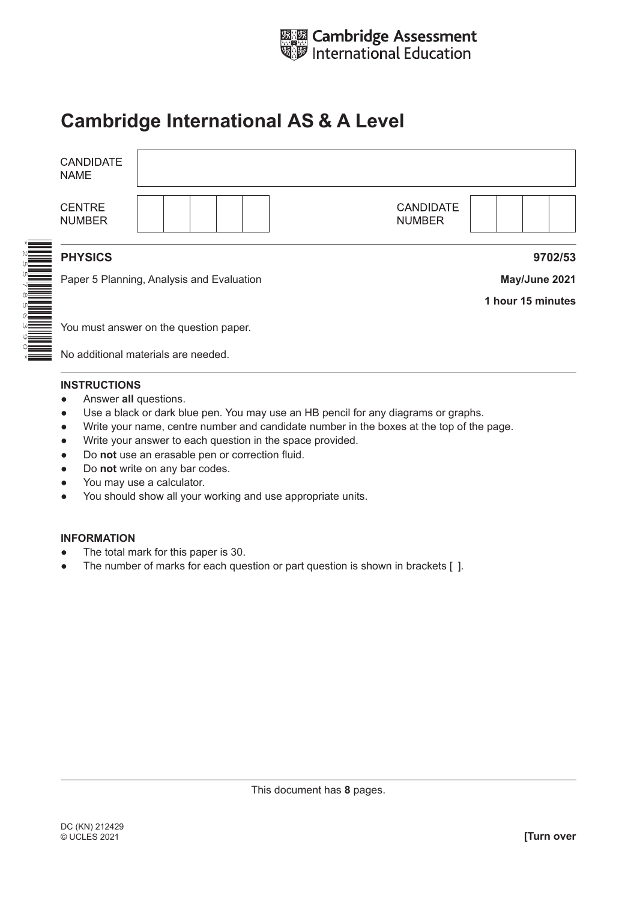

## **Cambridge International AS & A Level**

| <b>CANDIDATE</b><br><b>NAME</b> |                                           |                   |
|---------------------------------|-------------------------------------------|-------------------|
| <b>CENTRE</b><br><b>NUMBER</b>  | <b>CANDIDATE</b><br><b>NUMBER</b>         |                   |
|                                 |                                           |                   |
| <b>PHYSICS</b>                  |                                           | 9702/53           |
|                                 | Paper 5 Planning, Analysis and Evaluation | May/June 2021     |
|                                 |                                           | 1 hour 15 minutes |
|                                 |                                           |                   |
|                                 | You must answer on the question paper.    |                   |
|                                 | No additional materials are needed        |                   |

No additional materials are needed.

## **INSTRUCTIONS**

- **•** Answer all questions.
- Use a black or dark blue pen. You may use an HB pencil for any diagrams or graphs.
- Write your name, centre number and candidate number in the boxes at the top of the page.
- Write your answer to each question in the space provided.
- Do **not** use an erasable pen or correction fluid.
- Do **not** write on any bar codes.
- You may use a calculator.
- You should show all your working and use appropriate units.

## **INFORMATION**

- The total mark for this paper is 30.
- The number of marks for each question or part question is shown in brackets [ ].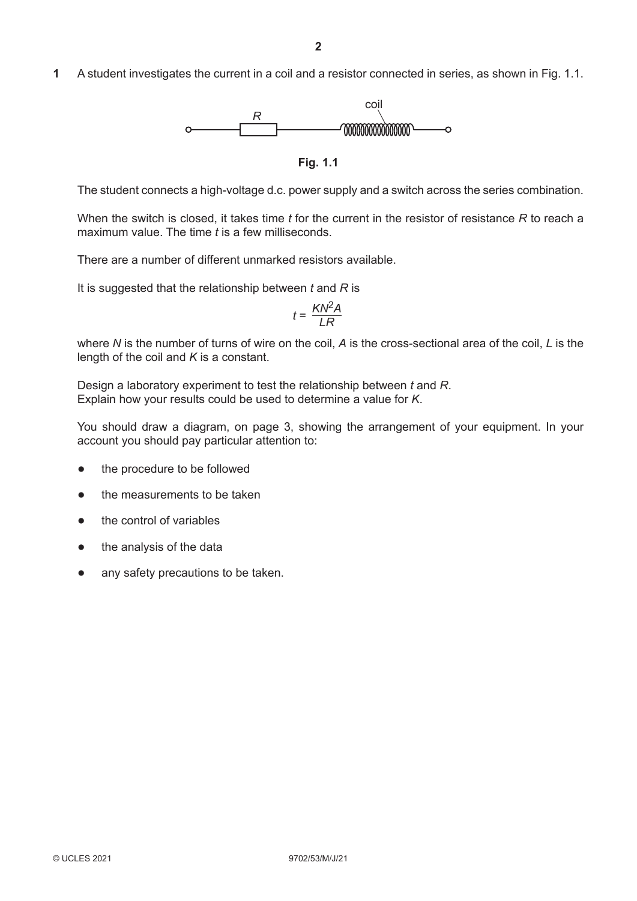**1** A student investigates the current in a coil and a resistor connected in series, as shown in Fig. 1.1.



**Fig. 1.1**

The student connects a high-voltage d.c. power supply and a switch across the series combination.

When the switch is closed, it takes time *t* for the current in the resistor of resistance *R* to reach a maximum value. The time *t* is a few milliseconds.

There are a number of different unmarked resistors available.

It is suggested that the relationship between *t* and *R* is

$$
t = \frac{KN^2A}{LR}
$$

where *N* is the number of turns of wire on the coil, *A* is the cross-sectional area of the coil, *L* is the length of the coil and *K* is a constant.

Design a laboratory experiment to test the relationship between *t* and *R*. Explain how your results could be used to determine a value for *K*.

You should draw a diagram, on page 3, showing the arrangement of your equipment. In your account you should pay particular attention to:

- the procedure to be followed
- the measurements to be taken
- the control of variables
- the analysis of the data
- any safety precautions to be taken.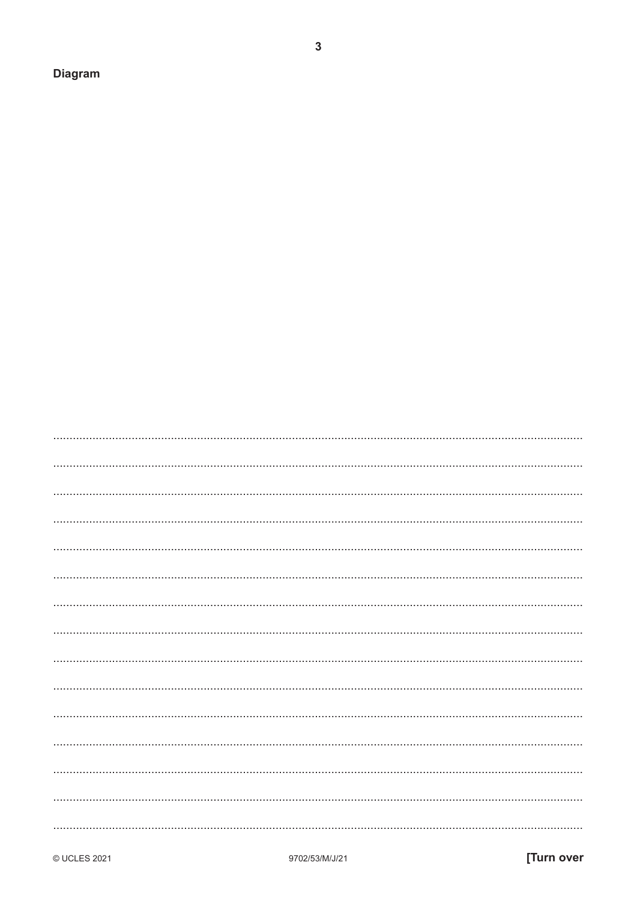**Diagram** 

 $\mathbf{3}$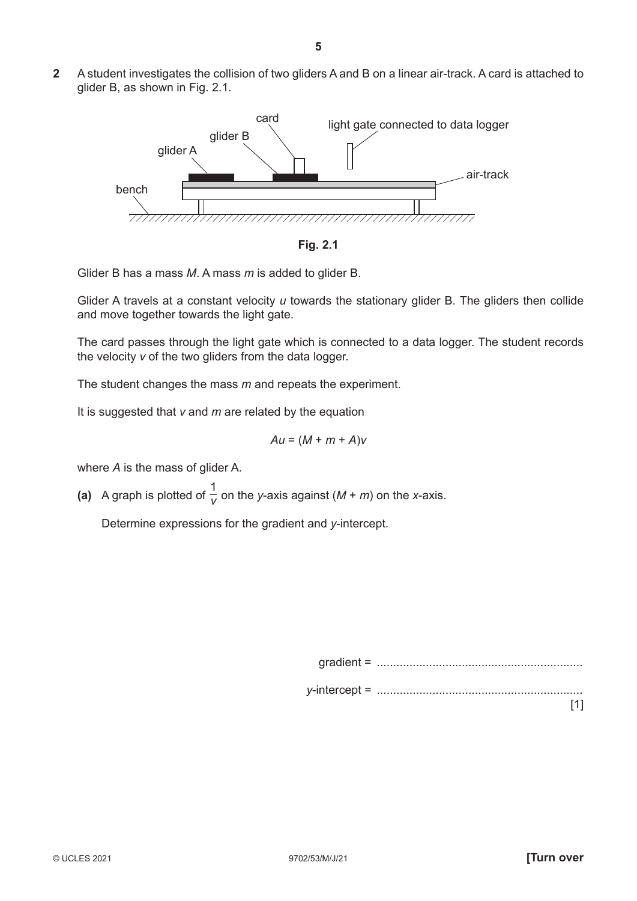**2** A student investigates the collision of two gliders A and B on a linear air-track. A card is attached to glider B, as shown in Fig. 2.1.



**Fig. 2.1**

Glider B has a mass *M*. A mass *m* is added to glider B.

Glider A travels at a constant velocity *u* towards the stationary glider B. The gliders then collide and move together towards the light gate.

The card passes through the light gate which is connected to a data logger. The student records the velocity *v* of the two gliders from the data logger.

The student changes the mass *m* and repeats the experiment.

It is suggested that *v* and *m* are related by the equation

$$
Au = (M + m + A)v
$$

where *A* is the mass of glider A.

(a) A graph is plotted of  $\frac{1}{v}$  on the *y*-axis against (*M* + *m*) on the *x*-axis.

Determine expressions for the gradient and *y*-intercept.

gradient = ............................................................... *y*-intercept = ............................................................... [1]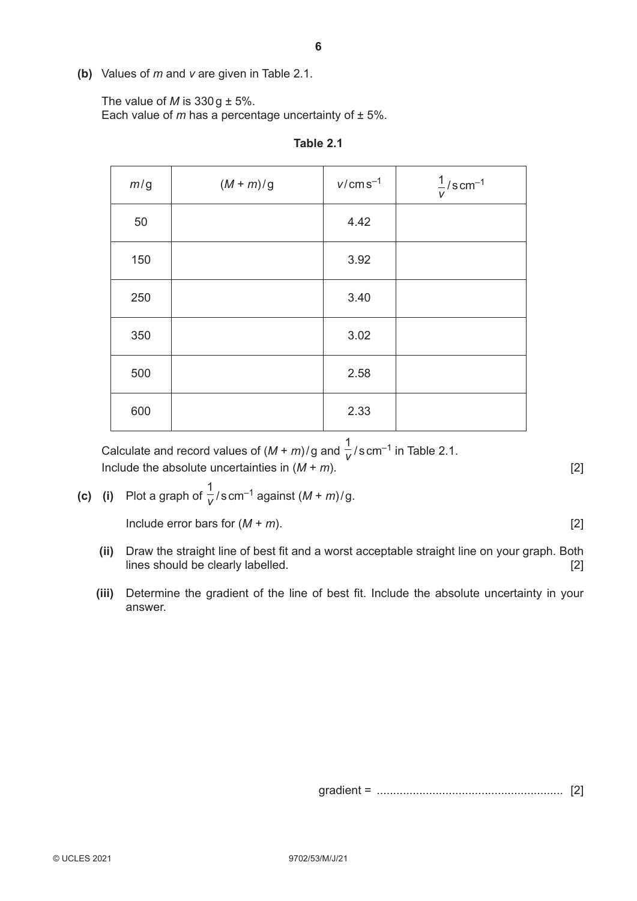**(b)** Values of *m* and *v* are given in Table 2.1.

The value of *M* is  $330g \pm 5\%$ .

Each value of  *has a percentage uncertainty of*  $\pm$  *5%.* 

| m/g | $(M+m)/g$ | $v/cms^{-1}$ | $\frac{1}{v}$ /scm <sup>-1</sup> |
|-----|-----------|--------------|----------------------------------|
| 50  |           | 4.42         |                                  |
| 150 |           | 3.92         |                                  |
| 250 |           | 3.40         |                                  |
| 350 |           | 3.02         |                                  |
| 500 |           | 2.58         |                                  |
| 600 |           | 2.33         |                                  |

**Table 2.1**

Calculate and record values of  $(M + m)/g$  and  $\frac{1}{V}/s$  cm<sup>-1</sup> in Table 2.1. Include the absolute uncertainties in  $(M + m)$ . [2]

**(c)** (i) Plot a graph of  $\frac{1}{V}/s$  cm<sup>-1</sup> against  $(M + m)/g$ .

 $\lceil 2 \rceil$ 

- **(ii)** Draw the straight line of best fit and a worst acceptable straight line on your graph. Both lines should be clearly labelled. [2]
- **(iii)** Determine the gradient of the line of best fit. Include the absolute uncertainty in your answer.

gradient = ......................................................... [2]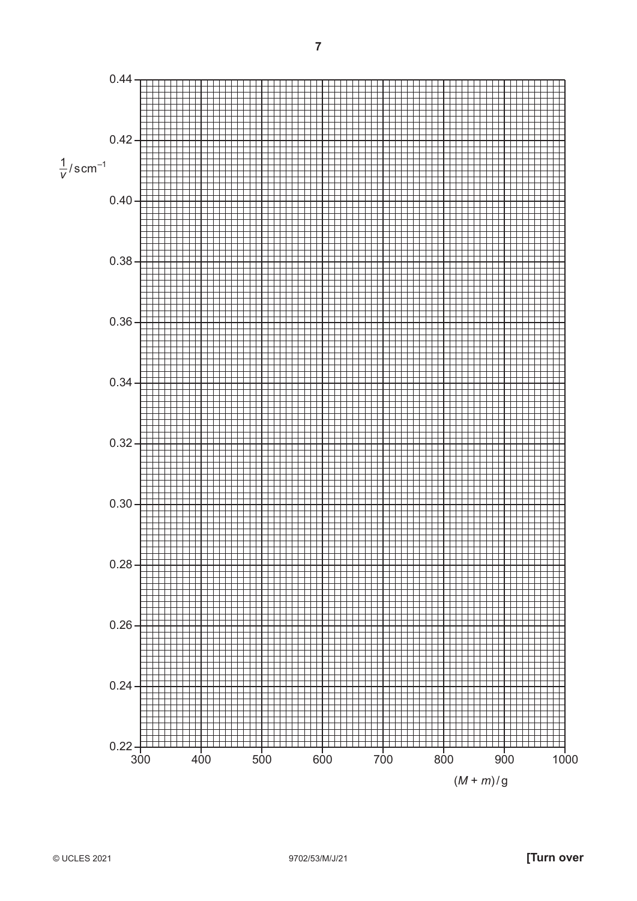